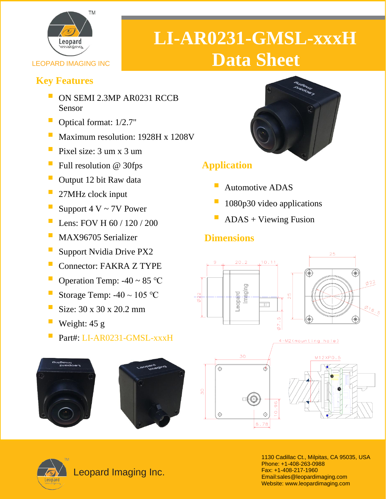

# **LI-AR0231-GMSL-xxxH LEOPARD IMAGING INC**

#### **Key Features**

- **DE ON SEMI 2.3MP AR0231 RCCB** Sensor
- Optical format: 1/2.7"
- Maximum resolution: 1928H x 1208V
- $\blacksquare$  Pixel size: 3 um x 3 um
- $\blacksquare$  Full resolution @ 30fps
- **Output 12 bit Raw data**
- 27MHz clock input
- Support  $4 V \sim 7V$  Power
- Lens: FOV H 60 / 120 / 200
- MAX96705 Serializer
- Support Nvidia Drive PX2
- Connector: FAKRA Z TYPE
- Operation Temp:  $-40 \sim 85$  °C
- Storage Temp:  $-40 \sim 105$  °C
- Size:  $30 \times 30 \times 20.2$  mm
- Weight:  $45 g$
- Part#: LI-AR0231-GMSL-xxxH







Leopard Imaging Inc.

### **Application**

- Automotive ADAS
- 1080p30 video applications
- $ADAS + Viewing Fusion$

### **Dimensions**







1130 Cadillac Ct., Milpitas, CA 95035, USA Phone: +1-408-263-0988 Fax: +1-408-217-1960 Email:sales@leopardimaging.com Website: www.leopardimaging.com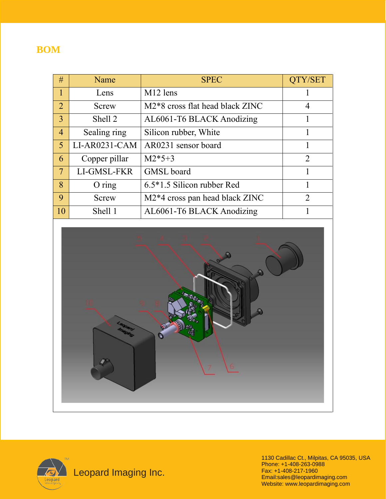#### **BOM**

| #              | Name          | <b>SPEC</b>                                 | QTY/SET        |
|----------------|---------------|---------------------------------------------|----------------|
| 1              | Lens          | M <sub>12</sub> lens                        |                |
| 2              | Screw         | M2 <sup>*8</sup> cross flat head black ZINC | 4              |
| $\overline{3}$ | Shell 2       | AL6061-T6 BLACK Anodizing                   |                |
| $\overline{4}$ | Sealing ring  | Silicon rubber, White                       |                |
| 5              | LI-AR0231-CAM | AR0231 sensor board                         |                |
| 6              | Copper pillar | $M2*5+3$                                    | $\overline{2}$ |
| $\tau$         | LI-GMSL-FKR   | <b>GMSL</b> board                           |                |
| 8              | $O$ ring      | $6.5*1.5$ Silicon rubber Red                |                |
| 9              | Screw         | M2 <sup>*4</sup> cross pan head black ZINC  | $\overline{2}$ |
| 10             | Shell 1       | AL6061-T6 BLACK Anodizing                   |                |





1130 Cadillac Ct., Milpitas, CA 95035, USA Phone: +1-408-263-0988 Fax: +1-408-217-1960 Email:sales@leopardimaging.com Website: www.leopardimaging.com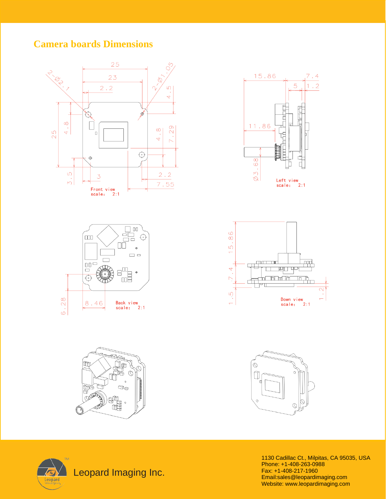#### **Camera boards Dimensions**















1130 Cadillac Ct., Milpitas, CA 95035, USA Phone: +1-408-263-0988 Fax: +1-408-217-1960 Email:sales@leopardimaging.com Website: www.leopardimaging.com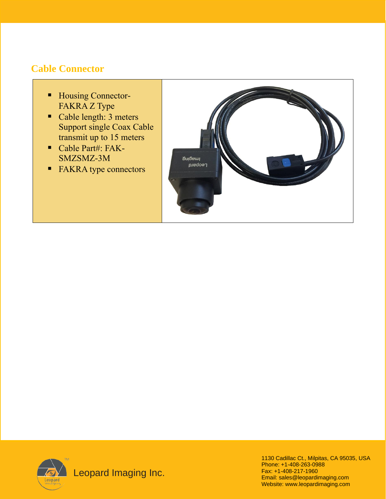#### **Cable Connector**

- Housing Connector-FAKRA Z Type
- Cable length: 3 meters Support single Coax Cable transmit up to 15 meters
- Cable Part#: FAK-SMZSMZ-3M
- FAKRA type connectors





 $\sum_{\text{Leopard}}$  Leopard Imaging Inc.

1130 Cadillac Ct., Milpitas, CA 95035, USA Phone: +1-408-263-0988 Fax: +1-408-217-1960 Email: sales@leopardimaging.com Website: www.leopardimaging.com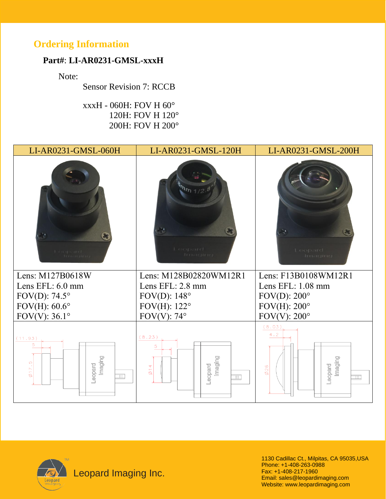### **Ordering Information**

#### **Part#**: **LI-AR0231-GMSL-xxxH**

Note:

Sensor Revision 7: RCCB

 xxxH - 060H: FOV H 60° 120H: FOV H 120° 200H: FOV H 200°

| LI-AR0231-GMSL-060H  | LI-AR0231-GMSL-120H         | LI-AR0231-GMSL-200H                   |  |
|----------------------|-----------------------------|---------------------------------------|--|
| Y.<br>I coopered.    | Y.<br>Leopard.<br>Irriacino | $\lambda_{\mu}$<br>Leopard<br>Imaging |  |
| Lens: M127B0618W     | Lens: M128B02820WM12R1      | Lens: F13B0108WM12R1                  |  |
|                      |                             |                                       |  |
| Lens EFL: 6.0 mm     | Lens EFL: 2.8 mm            | Lens EFL: 1.08 mm                     |  |
| FOV(D): $74.5^\circ$ | FOV(D): $148^\circ$         | FOV(D): $200^\circ$                   |  |
| FOV $(H)$ : 60.6°    | FOV $(H)$ : 122°            | FOV $(H)$ : 200°                      |  |
| FOV(V): $36.1^\circ$ | FOV(V): $74^{\circ}$        | FOV(V): $200^\circ$                   |  |



1130 Cadillac Ct., Milpitas, CA 95035,USA Phone: +1-408-263-0988 Fax: +1-408-217-1960 Email: sales@leopardimaging.com Website: www.leopardimaging.com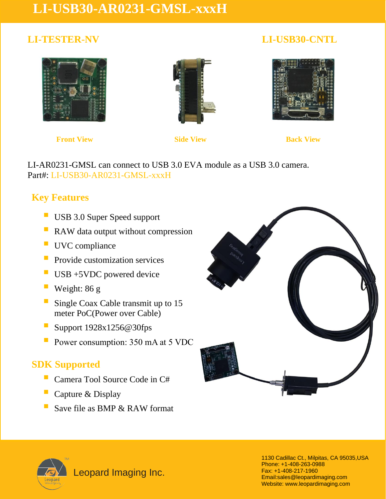## **LI-USB30-AR0231-GMSL-xxxH**

#### **LI-TESTER-NV LI-USB30-CNTL**







**Front View Side View Side View Back View** 

 LI-AR0231-GMSL can connect to USB 3.0 EVA module as a USB 3.0 camera. Part#: LI-USB30-AR0231-GMSL-xxxH

### **Key Features**

- **USB 3.0 Super Speed support**
- RAW data output without compression
- **UVC** compliance
- **Provide customization services**
- $\blacksquare$  USB +5VDC powered device
- Weight: 86 g
- **E** Single Coax Cable transmit up to 15 meter PoC(Power over Cable)
- **E** Support 1928x1256@30fps
- **P** Power consumption: 350 mA at 5 VDC

#### **SDK Supported**

- Camera Tool Source Code in C#
- Capture & Display
- Save file as BMP & RAW format





Leopard Imaging Inc.

1130 Cadillac Ct., Milpitas, CA 95035,USA Phone: +1-408-263-0988 Fax: +1-408-217-1960 Email:sales@leopardimaging.com Website: www.leopardimaging.com